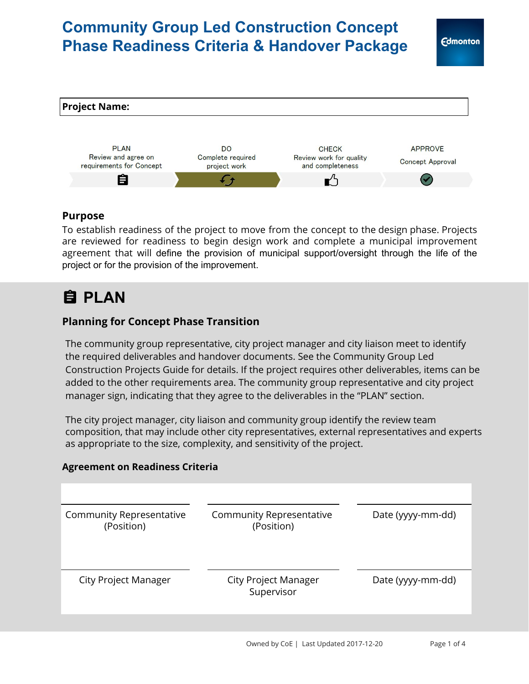# **Community Group Led Construction Concept Phase Readiness Criteria & Handover Package**



### **Purpose**

To establish readiness of the project to move from the concept to the design phase. Projects are reviewed for readiness to begin design work and complete a municipal improvement agreement that will define the provision of municipal support/oversight through the life of the project or for the provision of the improvement.

# **PLAN**

### **Planning for Concept Phase Transition**

The community group representative, city project manager and city liaison meet to identify the required deliverables and handover documents. See the Community Group Led Construction Projects Guide for details. If the project requires other deliverables, items can be added to the other requirements area. The community group representative and city project manager sign, indicating that they agree to the deliverables in the "PLAN" section.

The city project manager, city liaison and community group identify the review team composition, that may include other city representatives, external representatives and experts as appropriate to the size, complexity, and sensitivity of the project.

### **Agreement on Readiness Criteria**

| Community Representative<br>(Position)    | Date (yyyy-mm-dd) |
|-------------------------------------------|-------------------|
| <b>City Project Manager</b><br>Supervisor | Date (yyyy-mm-dd) |
|                                           |                   |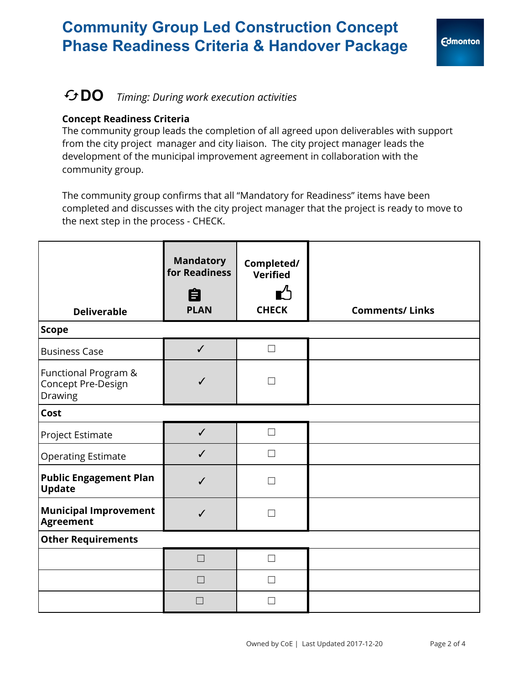# **Community Group Led Construction Concept Phase Readiness Criteria & Handover Package**



## **DO** *Timing: During work execution activities*

#### **Concept Readiness Criteria**

The community group leads the completion of all agreed upon deliverables with support from the city project manager and city liaison. The city project manager leads the development of the municipal improvement agreement in collaboration with the community group.

The community group confirms that all "Mandatory for Readiness" items have been completed and discusses with the city project manager that the project is ready to move to the next step in the process - CHECK.

| <b>Deliverable</b>                                               | <b>Mandatory</b><br>for Readiness<br>自<br><b>PLAN</b> | Completed/<br><b>Verified</b><br>∎′ำ<br><b>CHECK</b> | <b>Comments/Links</b> |
|------------------------------------------------------------------|-------------------------------------------------------|------------------------------------------------------|-----------------------|
| <b>Scope</b>                                                     |                                                       |                                                      |                       |
| <b>Business Case</b>                                             | $\checkmark$                                          | $\Box$                                               |                       |
| <b>Functional Program &amp;</b><br>Concept Pre-Design<br>Drawing | $\checkmark$                                          | $\Box$                                               |                       |
| <b>Cost</b>                                                      |                                                       |                                                      |                       |
| Project Estimate                                                 | $\checkmark$                                          | $\Box$                                               |                       |
| <b>Operating Estimate</b>                                        | $\checkmark$                                          | $\Box$                                               |                       |
| <b>Public Engagement Plan</b><br><b>Update</b>                   | $\checkmark$                                          | П                                                    |                       |
| <b>Municipal Improvement</b><br><b>Agreement</b>                 | $\overline{\mathcal{L}}$                              | П                                                    |                       |
| <b>Other Requirements</b>                                        |                                                       |                                                      |                       |
|                                                                  | $\Box$                                                | $\Box$                                               |                       |
|                                                                  | $\Box$                                                | $\Box$                                               |                       |
|                                                                  | П                                                     | $\Box$                                               |                       |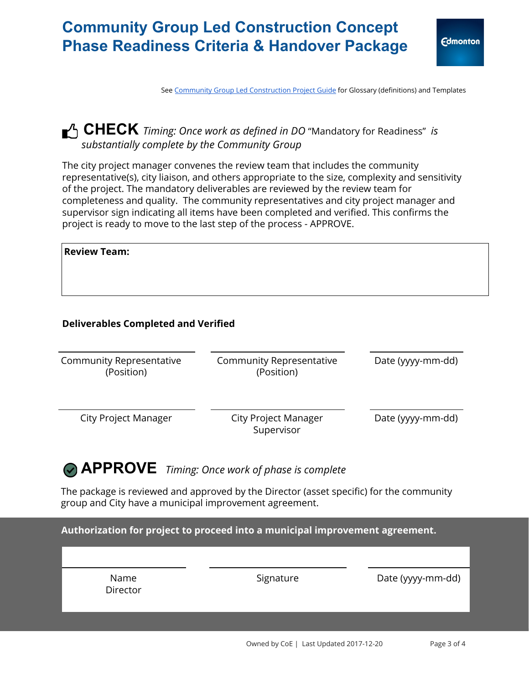## **Community Group Led Construction Concept Phase Readiness Criteria & Handover Package**

See Community Group Led [Construction](https://www.edmonton.ca/programs_services/documents/PDF/comm_construction_guide20170622.pdf) Project Guide for Glossary (definitions) and Templates

### **CHECK** *Timing: Once work as defined in DO* "Mandatory for Readiness" *is substantially complete by the Community Group*

The city project manager convenes the review team that includes the community representative(s), city liaison, and others appropriate to the size, complexity and sensitivity of the project. The mandatory deliverables are reviewed by the review team for completeness and quality. The community representatives and city project manager and supervisor sign indicating all items have been completed and verified. This confirms the project is ready to move to the last step of the process - APPROVE.

| <b>Review Team:</b> |  |  |  |
|---------------------|--|--|--|
|                     |  |  |  |
|                     |  |  |  |

#### **Deliverables Completed and Verified**

| Community Representative<br>(Position) | <b>Community Representative</b><br>(Position) | Date (yyyy-mm-dd) |
|----------------------------------------|-----------------------------------------------|-------------------|
| <b>City Project Manager</b>            | City Project Manager<br>Supervisor            | Date (yyyy-mm-dd) |

## **APPROVE** *Timing: Once work of phase is complete*

The package is reviewed and approved by the Director (asset specific) for the community group and City have a municipal improvement agreement.

**Authorization for project to proceed into a municipal improvement agreement.**

Name **Director** Signature Date (yyyy-mm-dd)